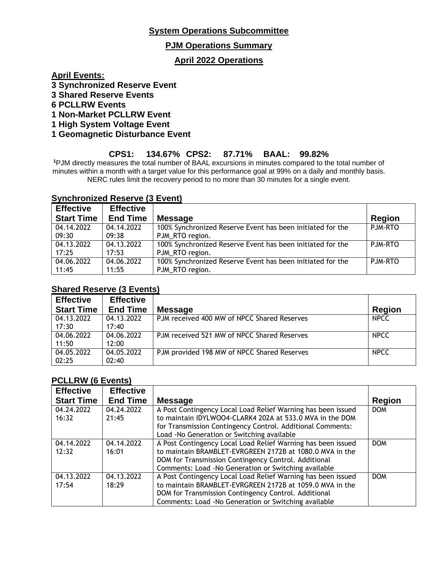## **System Operations Subcommittee**

### **PJM Operations Summary**

## **April 2022 Operations**

**April Events:**

- **3 Synchronized Reserve Event**
- **3 Shared Reserve Events**
- **6 PCLLRW Events**
- **1 Non-Market PCLLRW Event**
- **1 High System Voltage Event**
- **1 Geomagnetic Disturbance Event**

## **CPS1: 134.67% CPS2: 87.71% BAAL: 99.82%**

**<sup>1</sup>**PJM directly measures the total number of BAAL excursions in minutes compared to the total number of minutes within a month with a target value for this performance goal at 99% on a daily and monthly basis. NERC rules limit the recovery period to no more than 30 minutes for a single event.

#### **Synchronized Reserve (3 Event)**

| <b>Effective</b>  | <b>Effective</b> |                                                            |                |
|-------------------|------------------|------------------------------------------------------------|----------------|
| <b>Start Time</b> | <b>End Time</b>  | <b>Message</b>                                             | <b>Region</b>  |
| 04.14.2022        | 04.14.2022       | 100% Synchronized Reserve Event has been initiated for the | PJM-RTO        |
| 09:30             | 09:38            | PJM_RTO region.                                            |                |
| 04.13.2022        | 04.13.2022       | 100% Synchronized Reserve Event has been initiated for the | <b>PJM-RTO</b> |
| 17:25             | 17:53            | PJM_RTO region.                                            |                |
| 04.06.2022        | 04.06.2022       | 100% Synchronized Reserve Event has been initiated for the | P.JM-RTO       |
| 11:45             | 11:55            | PJM_RTO region.                                            |                |

#### **Shared Reserve (3 Events)**

| <b>Effective</b>  | <b>Effective</b> |                                             |               |
|-------------------|------------------|---------------------------------------------|---------------|
| <b>Start Time</b> | <b>End Time</b>  | <b>Message</b>                              | <b>Region</b> |
| 04.13.2022        | 04.13.2022       | PJM received 400 MW of NPCC Shared Reserves | <b>NPCC</b>   |
| 17:30             | 17:40            |                                             |               |
| 04.06.2022        | 04.06.2022       | PJM received 521 MW of NPCC Shared Reserves | <b>NPCC</b>   |
| 11:50             | 12:00            |                                             |               |
| 04.05.2022        | 04.05.2022       | PJM provided 198 MW of NPCC Shared Reserves | <b>NPCC</b>   |
| 02:25             | 02:40            |                                             |               |

#### **PCLLRW (6 Events)**

| <b>Effective</b>  | <b>Effective</b> |                                                              |               |
|-------------------|------------------|--------------------------------------------------------------|---------------|
| <b>Start Time</b> | <b>End Time</b>  | <b>Message</b>                                               | <b>Region</b> |
| 04.24.2022        | 04.24.2022       | A Post Contingency Local Load Relief Warning has been issued | <b>DOM</b>    |
| 16:32             | 21:45            | to maintain IDYLWOO4-CLARK4 202A at 533.0 MVA in the DOM     |               |
|                   |                  | for Transmission Contingency Control. Additional Comments:   |               |
|                   |                  | Load - No Generation or Switching available                  |               |
| 04.14.2022        | 04.14.2022       | A Post Contingency Local Load Relief Warning has been issued | <b>DOM</b>    |
| 12:32             | 16:01            | to maintain BRAMBLET-EVRGREEN 2172B at 1080.0 MVA in the     |               |
|                   |                  | DOM for Transmission Contingency Control. Additional         |               |
|                   |                  | Comments: Load -No Generation or Switching available         |               |
| 04.13.2022        | 04.13.2022       | A Post Contingency Local Load Relief Warning has been issued | <b>DOM</b>    |
| 17:54             | 18:29            | to maintain BRAMBLET-EVRGREEN 2172B at 1059.0 MVA in the     |               |
|                   |                  | DOM for Transmission Contingency Control. Additional         |               |
|                   |                  | Comments: Load -No Generation or Switching available         |               |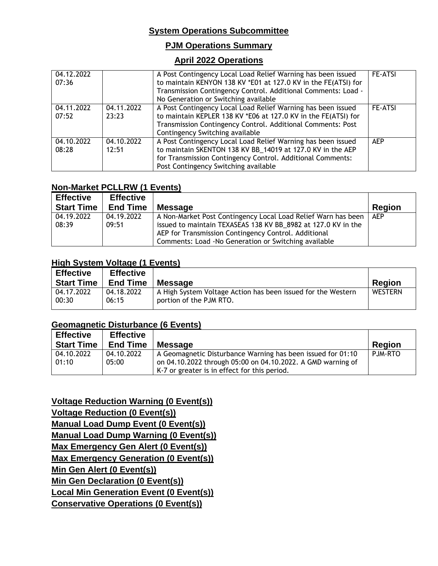# **System Operations Subcommittee**

## **PJM Operations Summary**

### **April 2022 Operations**

| 04.12.2022<br>07:36 |                     | A Post Contingency Local Load Relief Warning has been issued<br>to maintain KENYON 138 KV *E01 at 127.0 KV in the FE(ATSI) for<br>Transmission Contingency Control. Additional Comments: Load -<br>No Generation or Switching available | <b>FE-ATSI</b> |
|---------------------|---------------------|-----------------------------------------------------------------------------------------------------------------------------------------------------------------------------------------------------------------------------------------|----------------|
| 04.11.2022<br>07:52 | 04.11.2022<br>23:23 | A Post Contingency Local Load Relief Warning has been issued<br>to maintain KEPLER 138 KV *E06 at 127.0 KV in the FE(ATSI) for<br>Transmission Contingency Control. Additional Comments: Post<br>Contingency Switching available        | <b>FE-ATSI</b> |
| 04.10.2022<br>08:28 | 04.10.2022<br>12:51 | A Post Contingency Local Load Relief Warning has been issued<br>to maintain SKENTON 138 KV BB_14019 at 127.0 KV in the AEP<br>for Transmission Contingency Control. Additional Comments:<br>Post Contingency Switching available        | <b>AEP</b>     |

## **Non-Market PCLLRW (1 Events)**

| <b>Effective</b>  | <b>Effective</b> |                                                               |               |
|-------------------|------------------|---------------------------------------------------------------|---------------|
| <b>Start Time</b> | <b>End Time</b>  | <b>Message</b>                                                | <b>Region</b> |
| 04.19.2022        | 04.19.2022       | A Non-Market Post Contingency Local Load Relief Warn has been | AEP           |
| 08:39             | 09:51            | issued to maintain TEXASEAS 138 KV BB_8982 at 127.0 KV in the |               |
|                   |                  | AEP for Transmission Contingency Control. Additional          |               |
|                   |                  | Comments: Load - No Generation or Switching available         |               |

### **High System Voltage (1 Events)**

| <b>Effective</b><br><b>Start Time</b> | <b>Effective</b><br><b>End Time</b> | <b>Message</b>                                               | <b>Region</b>  |
|---------------------------------------|-------------------------------------|--------------------------------------------------------------|----------------|
| 04.17.2022                            | 04.18.2022                          | A High System Voltage Action has been issued for the Western | <b>WESTERN</b> |
| 00:30                                 | 06:15                               | portion of the PJM RTO.                                      |                |

### **Geomagnetic Disturbance (6 Events)**

|                                                                                                                            | <b>Region</b>                                |
|----------------------------------------------------------------------------------------------------------------------------|----------------------------------------------|
| A Geomagnetic Disturbance Warning has been issued for 01:10<br>on 04.10.2022 through 05:00 on 04.10.2022. A GMD warning of | PJM-RTO                                      |
|                                                                                                                            | K-7 or greater is in effect for this period. |

**Voltage Reduction Warning (0 Event(s)) Voltage Reduction (0 Event(s)) Manual Load Dump Event (0 Event(s)) Manual Load Dump Warning (0 Event(s)) Max Emergency Gen Alert (0 Event(s)) Max Emergency Generation (0 Event(s)) Min Gen Alert (0 Event(s)) Min Gen Declaration (0 Event(s)) Local Min Generation Event (0 Event(s)) Conservative Operations (0 Event(s))**